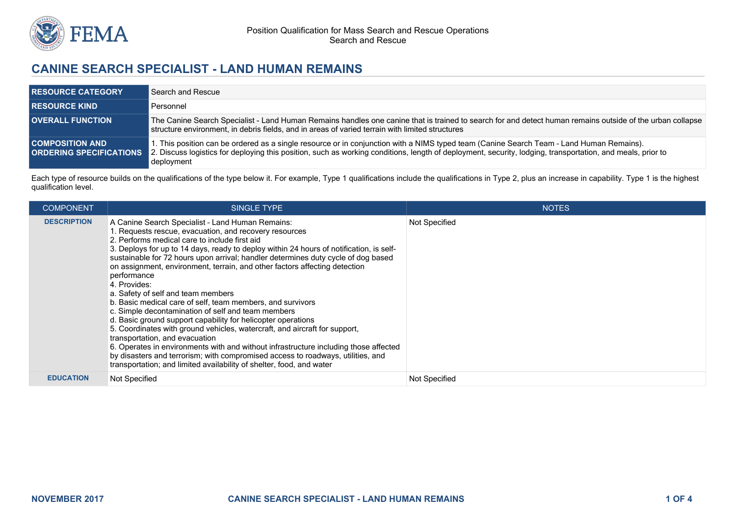

## **CANINE SEARCH SPECIALIST - LAND HUMAN REMAINS**

| <b>RESOURCE CATEGORY</b>                                 | Search and Rescue                                                                                                                                                                                                                                                                                                    |
|----------------------------------------------------------|----------------------------------------------------------------------------------------------------------------------------------------------------------------------------------------------------------------------------------------------------------------------------------------------------------------------|
| <b>RESOURCE KIND.</b>                                    | Personnel                                                                                                                                                                                                                                                                                                            |
| <b>OVERALL FUNCTION</b>                                  | The Canine Search Specialist - Land Human Remains handles one canine that is trained to search for and detect human remains outside of the urban collapse<br>structure environment, in debris fields, and in areas of varied terrain with limited structures                                                         |
| <b>COMPOSITION AND</b><br><b>ORDERING SPECIFICATIONS</b> | I. This position can be ordered as a single resource or in conjunction with a NIMS typed team (Canine Search Team - Land Human Remains).<br>2. Discuss logistics for deploying this position, such as working conditions, length of deployment, security, lodging, transportation, and meals, prior to<br>deployment |

Each type of resource builds on the qualifications of the type below it. For example, Type 1 qualifications include the qualifications in Type 2, plus an increase in capability. Type 1 is the highest qualification level.

| <b>COMPONENT</b>   | <b>SINGLE TYPE</b>                                                                                                                                                                                                                                                                                                                                                                                                                                                                                                                                                                                                                                                                                                                                                                                                                                                                                                                                                                                                                                    | <b>NOTES</b>         |
|--------------------|-------------------------------------------------------------------------------------------------------------------------------------------------------------------------------------------------------------------------------------------------------------------------------------------------------------------------------------------------------------------------------------------------------------------------------------------------------------------------------------------------------------------------------------------------------------------------------------------------------------------------------------------------------------------------------------------------------------------------------------------------------------------------------------------------------------------------------------------------------------------------------------------------------------------------------------------------------------------------------------------------------------------------------------------------------|----------------------|
| <b>DESCRIPTION</b> | A Canine Search Specialist - Land Human Remains:<br>1. Requests rescue, evacuation, and recovery resources<br>2. Performs medical care to include first aid<br>3. Deploys for up to 14 days, ready to deploy within 24 hours of notification, is self-<br>sustainable for 72 hours upon arrival; handler determines duty cycle of dog based<br>on assignment, environment, terrain, and other factors affecting detection<br>performance<br>4. Provides:<br>a. Safety of self and team members<br>b. Basic medical care of self, team members, and survivors<br>c. Simple decontamination of self and team members<br>d. Basic ground support capability for helicopter operations<br>5. Coordinates with ground vehicles, watercraft, and aircraft for support,<br>transportation, and evacuation<br>6. Operates in environments with and without infrastructure including those affected<br>by disasters and terrorism; with compromised access to roadways, utilities, and<br>transportation; and limited availability of shelter, food, and water | Not Specified        |
| <b>EDUCATION</b>   | Not Specified                                                                                                                                                                                                                                                                                                                                                                                                                                                                                                                                                                                                                                                                                                                                                                                                                                                                                                                                                                                                                                         | <b>Not Specified</b> |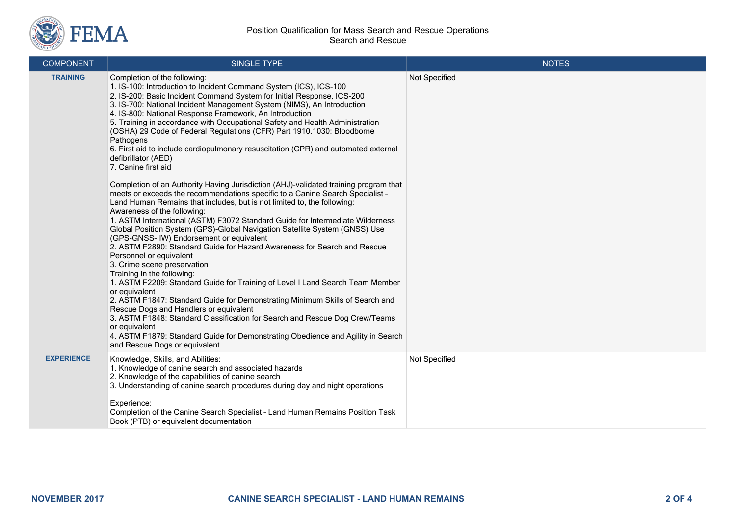

| <b>COMPONENT</b>  | SINGLE TYPE                                                                                                                                                                                                                                                                                                                                                                                                                                                                                                                                                                                                                                                                                                                                                                                                                                                                                                                                                                                                                                                                                                                                                                                                                                                                                                                                                                                                                                                                                                                                                                                                                                                                                                                                   | <b>NOTES</b>  |
|-------------------|-----------------------------------------------------------------------------------------------------------------------------------------------------------------------------------------------------------------------------------------------------------------------------------------------------------------------------------------------------------------------------------------------------------------------------------------------------------------------------------------------------------------------------------------------------------------------------------------------------------------------------------------------------------------------------------------------------------------------------------------------------------------------------------------------------------------------------------------------------------------------------------------------------------------------------------------------------------------------------------------------------------------------------------------------------------------------------------------------------------------------------------------------------------------------------------------------------------------------------------------------------------------------------------------------------------------------------------------------------------------------------------------------------------------------------------------------------------------------------------------------------------------------------------------------------------------------------------------------------------------------------------------------------------------------------------------------------------------------------------------------|---------------|
| <b>TRAINING</b>   | Completion of the following:<br>1. IS-100: Introduction to Incident Command System (ICS), ICS-100<br>2. IS-200: Basic Incident Command System for Initial Response, ICS-200<br>3. IS-700: National Incident Management System (NIMS), An Introduction<br>4. IS-800: National Response Framework, An Introduction<br>5. Training in accordance with Occupational Safety and Health Administration<br>(OSHA) 29 Code of Federal Regulations (CFR) Part 1910.1030: Bloodborne<br>Pathogens<br>6. First aid to include cardiopulmonary resuscitation (CPR) and automated external<br>defibrillator (AED)<br>7. Canine first aid<br>Completion of an Authority Having Jurisdiction (AHJ)-validated training program that<br>meets or exceeds the recommendations specific to a Canine Search Specialist -<br>Land Human Remains that includes, but is not limited to, the following:<br>Awareness of the following:<br>1. ASTM International (ASTM) F3072 Standard Guide for Intermediate Wilderness<br>Global Position System (GPS)-Global Navigation Satellite System (GNSS) Use<br>(GPS-GNSS-IIW) Endorsement or equivalent<br>2. ASTM F2890: Standard Guide for Hazard Awareness for Search and Rescue<br>Personnel or equivalent<br>3. Crime scene preservation<br>Training in the following:<br>1. ASTM F2209: Standard Guide for Training of Level I Land Search Team Member<br>or equivalent<br>2. ASTM F1847: Standard Guide for Demonstrating Minimum Skills of Search and<br>Rescue Dogs and Handlers or equivalent<br>3. ASTM F1848: Standard Classification for Search and Rescue Dog Crew/Teams<br>or equivalent<br>4. ASTM F1879: Standard Guide for Demonstrating Obedience and Agility in Search<br>and Rescue Dogs or equivalent | Not Specified |
| <b>EXPERIENCE</b> | Knowledge, Skills, and Abilities:<br>1. Knowledge of canine search and associated hazards<br>2. Knowledge of the capabilities of canine search<br>3. Understanding of canine search procedures during day and night operations<br>Experience:<br>Completion of the Canine Search Specialist - Land Human Remains Position Task<br>Book (PTB) or equivalent documentation                                                                                                                                                                                                                                                                                                                                                                                                                                                                                                                                                                                                                                                                                                                                                                                                                                                                                                                                                                                                                                                                                                                                                                                                                                                                                                                                                                      | Not Specified |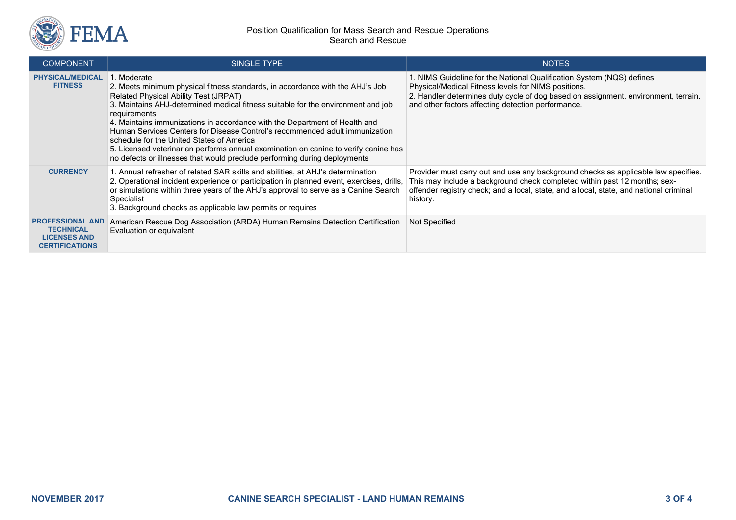

## Position Qualification for Mass Search and Rescue Operations Search and Rescue

| <b>COMPONENT</b>                                                                            | SINGLE TYPE                                                                                                                                                                                                                                                                                                                                                                                                                                                                                                                                                                                                            | <b>NOTES</b>                                                                                                                                                                                                                                                             |
|---------------------------------------------------------------------------------------------|------------------------------------------------------------------------------------------------------------------------------------------------------------------------------------------------------------------------------------------------------------------------------------------------------------------------------------------------------------------------------------------------------------------------------------------------------------------------------------------------------------------------------------------------------------------------------------------------------------------------|--------------------------------------------------------------------------------------------------------------------------------------------------------------------------------------------------------------------------------------------------------------------------|
| <b>PHYSICAL/MEDICAL</b><br><b>FITNESS</b>                                                   | . Moderate<br>2. Meets minimum physical fitness standards, in accordance with the AHJ's Job<br>Related Physical Ability Test (JRPAT)<br>3. Maintains AHJ-determined medical fitness suitable for the environment and job<br>requirements<br>4. Maintains immunizations in accordance with the Department of Health and<br>Human Services Centers for Disease Control's recommended adult immunization<br>schedule for the United States of America<br>5. Licensed veterinarian performs annual examination on canine to verify canine has<br>no defects or illnesses that would preclude performing during deployments | 1. NIMS Guideline for the National Qualification System (NQS) defines<br>Physical/Medical Fitness levels for NIMS positions.<br>2. Handler determines duty cycle of dog based on assignment, environment, terrain,<br>and other factors affecting detection performance. |
| <b>CURRENCY</b>                                                                             | 1. Annual refresher of related SAR skills and abilities, at AHJ's determination<br>2. Operational incident experience or participation in planned event, exercises, drills,<br>or simulations within three years of the AHJ's approval to serve as a Canine Search<br>Specialist<br>3. Background checks as applicable law permits or requires                                                                                                                                                                                                                                                                         | Provider must carry out and use any background checks as applicable law specifies.<br>This may include a background check completed within past 12 months; sex-<br>offender registry check; and a local, state, and a local, state, and national criminal<br>history.    |
| <b>PROFESSIONAL AND</b><br><b>TECHNICAL</b><br><b>LICENSES AND</b><br><b>CERTIFICATIONS</b> | American Rescue Dog Association (ARDA) Human Remains Detection Certification<br>Evaluation or equivalent                                                                                                                                                                                                                                                                                                                                                                                                                                                                                                               | <b>Not Specified</b>                                                                                                                                                                                                                                                     |